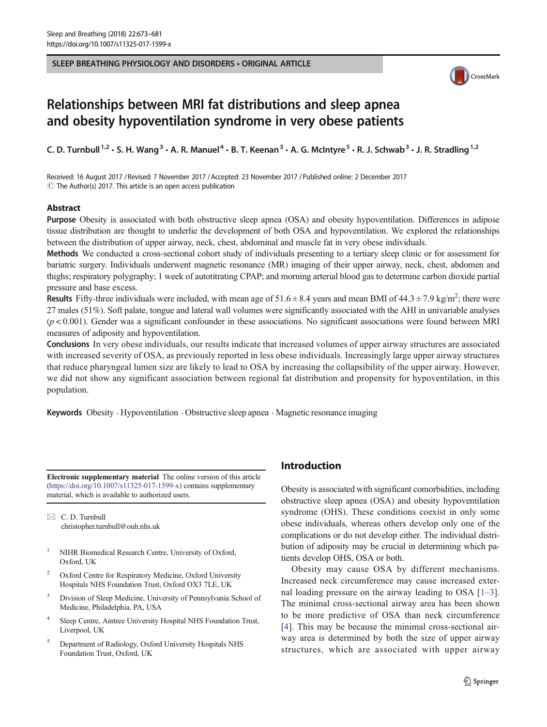#### SLEEP BREATHING PHYSIOLOGY AND DISORDERS • ORIGINAL ARTICLE



# Relationships between MRI fat distributions and sleep apnea and obesity hypoventilation syndrome in very obese patients

C. D. Turnbull<sup>1,2</sup> · S. H. Wang<sup>3</sup> · A. R. Manuel<sup>4</sup> · B. T. Keenan<sup>3</sup> · A. G. McIntyre<sup>5</sup> · R. J. Schwab<sup>3</sup> · J. R. Stradling<sup>1,2</sup>

Received: 16 August 2017 / Revised: 7 November 2017 /Accepted: 23 November 2017 /Published online: 2 December 2017  $\odot$  The Author(s) 2017. This article is an open access publication

#### Abstract

Purpose Obesity is associated with both obstructive sleep apnea (OSA) and obesity hypoventilation. Differences in adipose tissue distribution are thought to underlie the development of both OSA and hypoventilation. We explored the relationships between the distribution of upper airway, neck, chest, abdominal and muscle fat in very obese individuals.

Methods We conducted a cross-sectional cohort study of individuals presenting to a tertiary sleep clinic or for assessment for bariatric surgery. Individuals underwent magnetic resonance (MR) imaging of their upper airway, neck, chest, abdomen and thighs; respiratory polygraphy; 1 week of autotitrating CPAP; and morning arterial blood gas to determine carbon dioxide partial pressure and base excess.

**Results** Fifty-three individuals were included, with mean age of  $51.6 \pm 8.4$  years and mean BMI of  $44.3 \pm 7.9$  kg/m<sup>2</sup>; there were 27 males (51%). Soft palate, tongue and lateral wall volumes were significantly associated with the AHI in univariable analyses  $(p<0.001)$ . Gender was a significant confounder in these associations. No significant associations were found between MRI measures of adiposity and hypoventilation.

Conclusions In very obese individuals, our results indicate that increased volumes of upper airway structures are associated with increased severity of OSA, as previously reported in less obese individuals. Increasingly large upper airway structures that reduce pharyngeal lumen size are likely to lead to OSA by increasing the collapsibility of the upper airway. However, we did not show any significant association between regional fat distribution and propensity for hypoventilation, in this population.

Keywords Obesity . Hypoventilation . Obstructive sleep apnea . Magnetic resonance imaging

Electronic supplementary material The online version of this article (<https://doi.org/10.1007/s11325-017-1599-x>) contains supplementary material, which is available to authorized users.

 $\boxtimes$  C. D. Turnbull [christopher.turnbull@ouh.nhs.uk](mailto:christopher.turnbull@ouh.nhs.uk)

- <sup>1</sup> NIHR Biomedical Research Centre, University of Oxford, Oxford, UK
- <sup>2</sup> Oxford Centre for Respiratory Medicine, Oxford University Hospitals NHS Foundation Trust, Oxford OX3 7LE, UK
- <sup>3</sup> Division of Sleep Medicine, University of Pennsylvania School of Medicine, Philadelphia, PA, USA
- <sup>4</sup> Sleep Centre, Aintree University Hospital NHS Foundation Trust, Liverpool, UK
- <sup>5</sup> Department of Radiology, Oxford University Hospitals NHS Foundation Trust, Oxford, UK

## Introduction

Obesity is associated with significant comorbidities, including obstructive sleep apnea (OSA) and obesity hypoventilation syndrome (OHS). These conditions coexist in only some obese individuals, whereas others develop only one of the complications or do not develop either. The individual distribution of adiposity may be crucial in determining which patients develop OHS, OSA or both.

Obesity may cause OSA by different mechanisms. Increased neck circumference may cause increased external loading pressure on the airway leading to OSA  $[1-3]$  $[1-3]$  $[1-3]$  $[1-3]$ . The minimal cross-sectional airway area has been shown to be more predictive of OSA than neck circumference [\[4\]](#page-7-0). This may be because the minimal cross-sectional airway area is determined by both the size of upper airway structures, which are associated with upper airway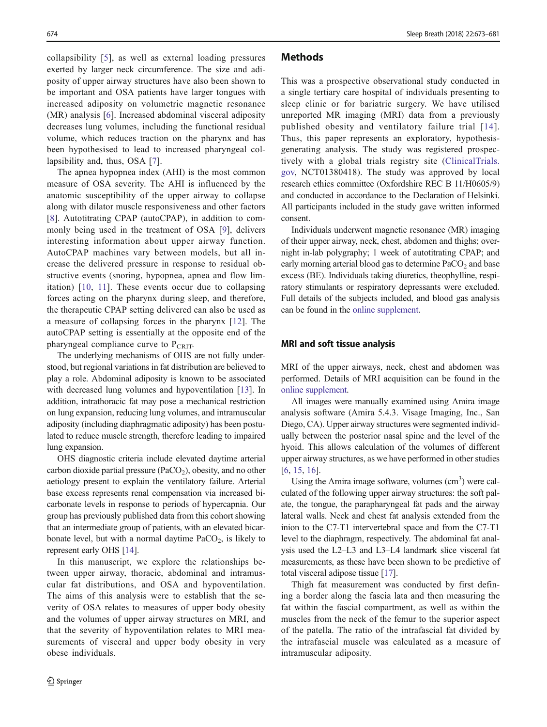collapsibility [[5](#page-7-0)], as well as external loading pressures exerted by larger neck circumference. The size and adiposity of upper airway structures have also been shown to be important and OSA patients have larger tongues with increased adiposity on volumetric magnetic resonance (MR) analysis [[6\]](#page-7-0). Increased abdominal visceral adiposity decreases lung volumes, including the functional residual volume, which reduces traction on the pharynx and has been hypothesised to lead to increased pharyngeal col-lapsibility and, thus, OSA [[7\]](#page-7-0).

The apnea hypopnea index (AHI) is the most common measure of OSA severity. The AHI is influenced by the anatomic susceptibility of the upper airway to collapse along with dilator muscle responsiveness and other factors [\[8](#page-7-0)]. Autotitrating CPAP (autoCPAP), in addition to commonly being used in the treatment of OSA [[9](#page-7-0)], delivers interesting information about upper airway function. AutoCPAP machines vary between models, but all increase the delivered pressure in response to residual obstructive events (snoring, hypopnea, apnea and flow limitation) [[10](#page-7-0), [11\]](#page-7-0). These events occur due to collapsing forces acting on the pharynx during sleep, and therefore, the therapeutic CPAP setting delivered can also be used as a measure of collapsing forces in the pharynx [\[12\]](#page-7-0). The autoCPAP setting is essentially at the opposite end of the pharyngeal compliance curve to  $P_{CRIT}$ .

The underlying mechanisms of OHS are not fully understood, but regional variations in fat distribution are believed to play a role. Abdominal adiposity is known to be associated with decreased lung volumes and hypoventilation [\[13](#page-7-0)]. In addition, intrathoracic fat may pose a mechanical restriction on lung expansion, reducing lung volumes, and intramuscular adiposity (including diaphragmatic adiposity) has been postulated to reduce muscle strength, therefore leading to impaired lung expansion.

OHS diagnostic criteria include elevated daytime arterial carbon dioxide partial pressure ( $PaCO<sub>2</sub>$ ), obesity, and no other aetiology present to explain the ventilatory failure. Arterial base excess represents renal compensation via increased bicarbonate levels in response to periods of hypercapnia. Our group has previously published data from this cohort showing that an intermediate group of patients, with an elevated bicarbonate level, but with a normal daytime  $PaCO<sub>2</sub>$ , is likely to represent early OHS [\[14\]](#page-7-0).

In this manuscript, we explore the relationships between upper airway, thoracic, abdominal and intramuscular fat distributions, and OSA and hypoventilation. The aims of this analysis were to establish that the severity of OSA relates to measures of upper body obesity and the volumes of upper airway structures on MRI, and that the severity of hypoventilation relates to MRI measurements of visceral and upper body obesity in very obese individuals.

#### **Methods**

This was a prospective observational study conducted in a single tertiary care hospital of individuals presenting to sleep clinic or for bariatric surgery. We have utilised unreported MR imaging (MRI) data from a previously published obesity and ventilatory failure trial [[14](#page-7-0)]. Thus, this paper represents an exploratory, hypothesisgenerating analysis. The study was registered prospectively with a global trials registry site ([ClinicalTrials.](http://clinicaltrials.gov) [gov,](http://clinicaltrials.gov) NCT01380418). The study was approved by local research ethics committee (Oxfordshire REC B 11/H0605/9) and conducted in accordance to the Declaration of Helsinki. All participants included in the study gave written informed consent.

Individuals underwent magnetic resonance (MR) imaging of their upper airway, neck, chest, abdomen and thighs; overnight in-lab polygraphy; 1 week of autotitrating CPAP; and early morning arterial blood gas to determine  $PaCO<sub>2</sub>$  and base excess (BE). Individuals taking diuretics, theophylline, respiratory stimulants or respiratory depressants were excluded. Full details of the subjects included, and blood gas analysis can be found in the online supplement.

#### MRI and soft tissue analysis

MRI of the upper airways, neck, chest and abdomen was performed. Details of MRI acquisition can be found in the online supplement.

All images were manually examined using Amira image analysis software (Amira 5.4.3. Visage Imaging, Inc., San Diego, CA). Upper airway structures were segmented individually between the posterior nasal spine and the level of the hyoid. This allows calculation of the volumes of different upper airway structures, as we have performed in other studies [\[6](#page-7-0), [15](#page-7-0), [16\]](#page-7-0).

Using the Amira image software, volumes  $(cm<sup>3</sup>)$  were calculated of the following upper airway structures: the soft palate, the tongue, the parapharyngeal fat pads and the airway lateral walls. Neck and chest fat analysis extended from the inion to the C7-T1 intervertebral space and from the C7-T1 level to the diaphragm, respectively. The abdominal fat analysis used the L2–L3 and L3–L4 landmark slice visceral fat measurements, as these have been shown to be predictive of total visceral adipose tissue [\[17\]](#page-7-0).

Thigh fat measurement was conducted by first defining a border along the fascia lata and then measuring the fat within the fascial compartment, as well as within the muscles from the neck of the femur to the superior aspect of the patella. The ratio of the intrafascial fat divided by the intrafascial muscle was calculated as a measure of intramuscular adiposity.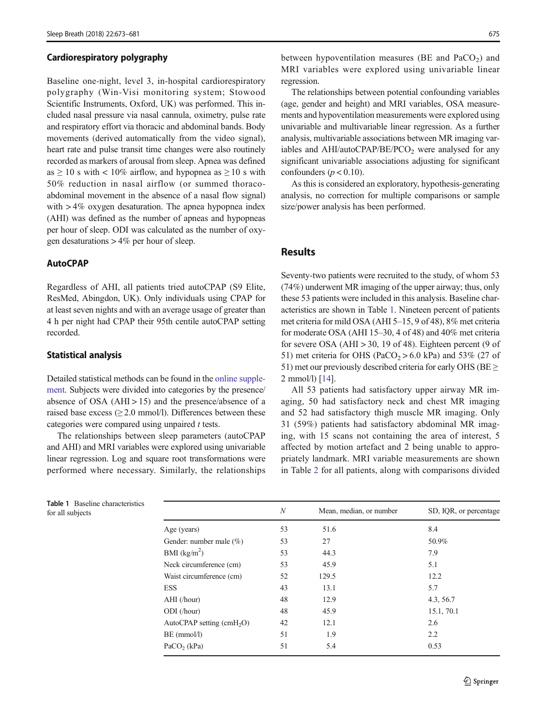#### Cardiorespiratory polygraphy

Baseline one-night, level 3, in-hospital cardiorespiratory polygraphy (Win-Visi monitoring system; Stowood Scientific Instruments, Oxford, UK) was performed. This included nasal pressure via nasal cannula, oximetry, pulse rate and respiratory effort via thoracic and abdominal bands. Body movements (derived automatically from the video signal), heart rate and pulse transit time changes were also routinely recorded as markers of arousal from sleep. Apnea was defined as  $\geq 10$  s with < 10% airflow, and hypopnea as  $\geq 10$  s with 50% reduction in nasal airflow (or summed thoracoabdominal movement in the absence of a nasal flow signal) with > 4% oxygen desaturation. The apnea hypopnea index (AHI) was defined as the number of apneas and hypopneas per hour of sleep. ODI was calculated as the number of oxygen desaturations  $> 4\%$  per hour of sleep.

#### AutoCPAP

Regardless of AHI, all patients tried autoCPAP (S9 Elite, ResMed, Abingdon, UK). Only individuals using CPAP for at least seven nights and with an average usage of greater than 4 h per night had CPAP their 95th centile autoCPAP setting recorded.

#### Statistical analysis

Detailed statistical methods can be found in the online supplement. Subjects were divided into categories by the presence/ absence of OSA  $(AHI > 15)$  and the presence/absence of a raised base excess  $(\geq 2.0 \text{ mmol/l})$ . Differences between these categories were compared using unpaired  $t$  tests.

The relationships between sleep parameters (autoCPAP and AHI) and MRI variables were explored using univariable linear regression. Log and square root transformations were performed where necessary. Similarly, the relationships

Table 1 Baseline characteristics

between hypoventilation measures (BE and PaCO<sub>2</sub>) and MRI variables were explored using univariable linear regression.

The relationships between potential confounding variables (age, gender and height) and MRI variables, OSA measurements and hypoventilation measurements were explored using univariable and multivariable linear regression. As a further analysis, multivariable associations between MR imaging variables and  $AHI/autoCPAP/BE/PCO<sub>2</sub>$  were analysed for any significant univariable associations adjusting for significant confounders ( $p < 0.10$ ).

As this is considered an exploratory, hypothesis-generating analysis, no correction for multiple comparisons or sample size/power analysis has been performed.

## Results

Seventy-two patients were recruited to the study, of whom 53 (74%) underwent MR imaging of the upper airway; thus, only these 53 patients were included in this analysis. Baseline characteristics are shown in Table 1. Nineteen percent of patients met criteria for mild OSA (AHI 5–15, 9 of 48), 8% met criteria for moderate OSA (AHI 15–30, 4 of 48) and 40% met criteria for severe OSA (AHI  $>$  30, 19 of 48). Eighteen percent (9 of 51) met criteria for OHS (PaCO<sub>2</sub> > 6.0 kPa) and 53% (27 of 51) met our previously described criteria for early OHS ( $BE \ge$ 2 mmol/l) [[14](#page-7-0)].

All 53 patients had satisfactory upper airway MR imaging, 50 had satisfactory neck and chest MR imaging and 52 had satisfactory thigh muscle MR imaging. Only 31 (59%) patients had satisfactory abdominal MR imaging, with 15 scans not containing the area of interest, 5 affected by motion artefact and 2 being unable to appropriately landmark. MRI variable measurements are shown in Table [2](#page-3-0) for all patients, along with comparisons divided

| Table 1<br>Baseline characteristics<br>for all subjects |                                           | $\overline{N}$ | Mean, median, or number | SD, IQR, or percentage |
|---------------------------------------------------------|-------------------------------------------|----------------|-------------------------|------------------------|
|                                                         | Age (years)                               | 53             | 51.6                    | 8.4                    |
|                                                         | Gender: number male $(\%)$                | 53             | 27                      | 50.9%                  |
|                                                         | BMI $(kg/m2)$                             | 53             | 44.3                    | 7.9                    |
|                                                         | Neck circumference (cm)                   | 53             | 45.9                    | 5.1                    |
|                                                         | Waist circumference (cm)                  | 52             | 129.5                   | 12.2                   |
|                                                         | <b>ESS</b>                                | 43             | 13.1                    | 5.7                    |
|                                                         | $AHI$ (/hour)                             | 48             | 12.9                    | 4.3, 56.7              |
|                                                         | $ODI$ (/hour)                             | 48             | 45.9                    | 15.1, 70.1             |
|                                                         | AutoCPAP setting $\text{(cmH}_2\text{O)}$ | 42             | 12.1                    | 2.6                    |
|                                                         | $BE$ (mmol/l)                             | 51             | 1.9                     | 2.2                    |
|                                                         | $PaCO2$ (kPa)                             | 51             | 5.4                     | 0.53                   |
|                                                         |                                           |                |                         |                        |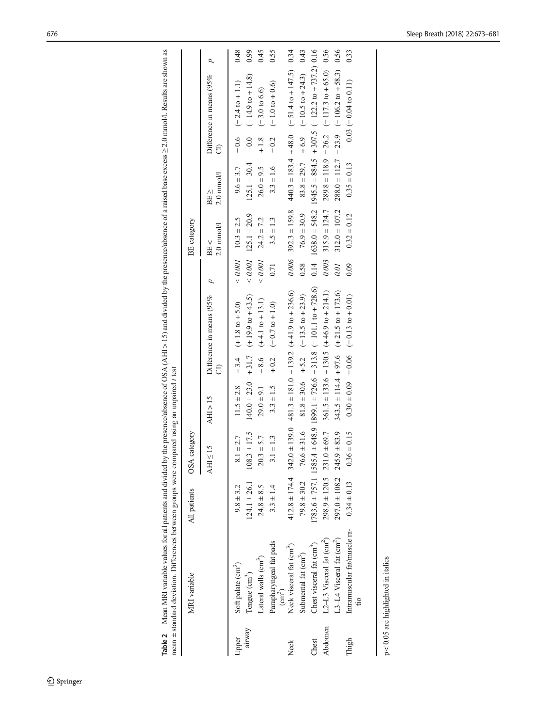<span id="page-3-0"></span>

| š<br>$1 - 12$ acts.<br>l<br>$\sim$ $\sim$ $\sim$ $\sim$ $\sim$<br>J<br>å<br>1<br>$\ddot{\phantom{0}}$<br>j<br>l<br>. DV lliv.<br>ׇ֚֘֡<br>i<br>ì<br>î<br>Ş<br>l<br>$\ddot{ }$<br>l<br>$\ddot{\phantom{a}}$<br>$\frac{1}{2}$<br>I<br>ć | į<br>ł<br>mnara<br>;<br>signal.<br>l |  |
|--------------------------------------------------------------------------------------------------------------------------------------------------------------------------------------------------------------------------------------|--------------------------------------|--|
| $\mathbb{E}[\mathbf{u}]$<br>$\ddot{\phantom{a}}$<br>Ξ<br>n alc                                                                                                                                                                       | $7 + 2 + 3$<br>c — m<br>maann +      |  |

|         | MRI variable                          | All patients     | OSA category                       |                         |        |                                                                                        |                | <b>BE</b> category         |                     |          |                                                                       |      |
|---------|---------------------------------------|------------------|------------------------------------|-------------------------|--------|----------------------------------------------------------------------------------------|----------------|----------------------------|---------------------|----------|-----------------------------------------------------------------------|------|
|         |                                       |                  | $\leq 15$<br><b>AHI</b>            | AHI > 15                |        | Difference in means (95%                                                               | $\overline{d}$ | $2.0$ mmol/l<br>BE <       | $2.0$ mmol/l<br>BE> | සි       | Difference in means (95%                                              | p    |
| Jpper   | Soft palate (cm <sup>3</sup> )        | $9.8 \pm 3.2$    | $8.1 \pm 2.7$                      |                         |        | $11.5 \pm 2.8$ + 3.4 (+ 1.8 to + 5.0)                                                  |                | $< 0.001$ 10.3 $\pm$ 2.5   | $9.6 \pm 3.7$       |          | $-0.6$ $(-2.4 \text{ to } +1.1)$                                      | 0.48 |
| airway  | Tongue $(cm^3)$                       | $124.1 \pm 26.1$ | $108.3 \pm 17.5$                   | $140.0 \pm 23.0 + 31.7$ |        | $(+19.9 to +43.5)$                                                                     |                | $< 0.001$ 125.1 $\pm$ 20.9 | $125.1 \pm 30.4$    | $-0.0 -$ | $(-14.9 \text{ to } +14.8)$                                           | 0.99 |
|         | Lateral walls (cm <sup>3</sup> )      | $24.8 \pm 8.5$   | $20.3 + 5.7$                       | $29.0 \pm 9.1$          | $-8.6$ | $(+4.1 to + 13.1)$                                                                     | 0.001          | $24.2 \pm 7.2$             | $26.0 \pm 9.5$      | $+1.8$   | $(-3.0 \text{ to } 6.6)$                                              | 0.45 |
|         | Parapharyngeal fat pads<br>$(cm^3)$   | $3.3 \pm 1.4$    | $3.1 \pm 1.3$                      | $3.3 \pm 1.5$           |        | $+0.2$ $(-0.7 \text{ to } +1.0)$                                                       | 0.71           | $3.5 \pm 1.3$              | $3.3 \pm 1.6$       |          | $-0.2$ $(-1.0 \text{ to } +0.6)$                                      | 0.55 |
| Neck    | Neck visceral fat (cm <sup>3</sup> )  |                  |                                    |                         |        | $412.8 \pm 174.4$ $342.0 \pm 139.0$ $481.3 \pm 181.0$ $+ 139.2$ $(+41.9$ to $+ 236.6)$ |                | $0.006$ 392.3 $\pm$ 159.8  |                     |          | $440.3 \pm 183.4 + 48.0$ $(-51.4 \text{ to } +147.5)$ 0.34            |      |
|         | Submental fat (cm <sup>3</sup> )      | $79.8 \pm 30.2$  | $76.6 \pm 31.6$                    |                         |        | $81.8 \pm 30.6 + 5.2$ (-13.5 to +23.9)                                                 | 0.58           | $76.9 \pm 30.9$            |                     |          | $83.8 \pm 29.7 + 6.9$ (-10.5 to +24.3) 0.43                           |      |
| Chest   | Chest visceral fat (cm <sup>3</sup> ) |                  |                                    |                         |        | $1783.6 \pm 757.1$ $1585.4 \pm 648.9$ $1899.1 \pm 726.6$ + 313.8 (-101.1 to + 728.6)   |                |                            |                     |          | $0.14$ 1638.0 ± 548.2 1945.5 ± 884.5 + 307.5 (-122.2 to + 737.2) 0.16 |      |
| Abdomen | L2-L3 Visceral fat (cm <sup>2</sup> ) |                  | $298.9 \pm 120.5$ 231.0 $\pm 69.7$ |                         |        | $361.5 \pm 133.6 + 130.5$ (+46.9 to +214.1)                                            | 0.003          | $315.9 \pm 124.7$          |                     |          | $289.8 \pm 118.9 - 26.2$ (-117.3 to +65.0) 0.56                       |      |
|         | .3-L4 Visceral fat (cm <sup>2</sup> ) |                  | $297.0 \pm 108.2$ $245.9 \pm 83.9$ |                         |        | $343.5 \pm 114.4 + 97.6$ (+21.5 to +173.6)                                             | 0.01           | $312.0 \pm 107.2$          |                     |          | $288.0 \pm 112.7$ - 23.9 (-106.2 to +58.3) 0.56                       |      |
| Thigh   | Intramuscular fat/muscle ra-          | $0.34 \pm 0.13$  | $0.36 \pm 0.15$                    |                         |        | $0.30 \pm 0.09$ -0.06 (-0.13 to +0.01)                                                 | 0.09           | $0.32 \pm 0.12$            | $0.35 \pm 0.13$     |          | $0.03 (-0.04 to 0.11)$                                                | 0.33 |
|         | $\overline{u}$                        |                  |                                    |                         |        |                                                                                        |                |                            |                     |          |                                                                       |      |
|         |                                       |                  |                                    |                         |        |                                                                                        |                |                            |                     |          |                                                                       |      |

 $p < 0.05$  are highlighted in italies p < 0.05 are highlighted in italics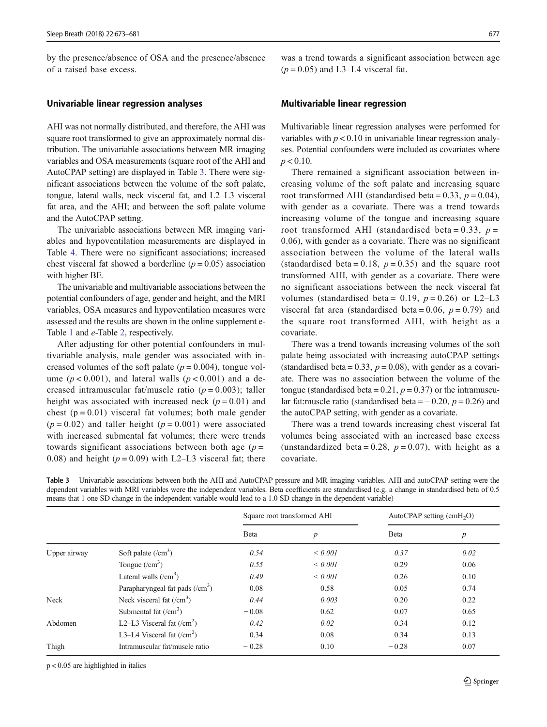by the presence/absence of OSA and the presence/absence of a raised base excess.

#### Univariable linear regression analyses

AHI was not normally distributed, and therefore, the AHI was square root transformed to give an approximately normal distribution. The univariable associations between MR imaging variables and OSA measurements (square root of the AHI and AutoCPAP setting) are displayed in Table 3. There were significant associations between the volume of the soft palate, tongue, lateral walls, neck visceral fat, and L2–L3 visceral fat area, and the AHI; and between the soft palate volume and the AutoCPAP setting.

The univariable associations between MR imaging variables and hypoventilation measurements are displayed in Table [4.](#page-5-0) There were no significant associations; increased chest visceral fat showed a borderline  $(p = 0.05)$  association with higher BE.

The univariable and multivariable associations between the potential confounders of age, gender and height, and the MRI variables, OSA measures and hypoventilation measures were assessed and the results are shown in the online supplement e-Table 1 and e-Table 2, respectively.

After adjusting for other potential confounders in multivariable analysis, male gender was associated with increased volumes of the soft palate ( $p = 0.004$ ), tongue volume ( $p < 0.001$ ), and lateral walls ( $p < 0.001$ ) and a decreased intramuscular fat/muscle ratio  $(p = 0.003)$ ; taller height was associated with increased neck  $(p = 0.01)$  and chest  $(p = 0.01)$  visceral fat volumes; both male gender  $(p = 0.02)$  and taller height  $(p = 0.001)$  were associated with increased submental fat volumes; there were trends towards significant associations between both age  $(p =$ 0.08) and height ( $p = 0.09$ ) with L2–L3 visceral fat; there was a trend towards a significant association between age  $(p = 0.05)$  and L3–L4 visceral fat.

#### Multivariable linear regression

Multivariable linear regression analyses were performed for variables with  $p < 0.10$  in univariable linear regression analyses. Potential confounders were included as covariates where  $p < 0.10$ .

There remained a significant association between increasing volume of the soft palate and increasing square root transformed AHI (standardised beta =  $0.33$ ,  $p = 0.04$ ), with gender as a covariate. There was a trend towards increasing volume of the tongue and increasing square root transformed AHI (standardised beta =  $0.33$ ,  $p =$ 0.06), with gender as a covariate. There was no significant association between the volume of the lateral walls (standardised beta = 0.18,  $p = 0.35$ ) and the square root transformed AHI, with gender as a covariate. There were no significant associations between the neck visceral fat volumes (standardised beta = 0.19,  $p = 0.26$ ) or L2–L3 visceral fat area (standardised beta =  $0.06$ ,  $p = 0.79$ ) and the square root transformed AHI, with height as a covariate.

There was a trend towards increasing volumes of the soft palate being associated with increasing autoCPAP settings (standardised beta =  $0.33$ ,  $p = 0.08$ ), with gender as a covariate. There was no association between the volume of the tongue (standardised beta =  $0.21$ ,  $p = 0.37$ ) or the intramuscular fat:muscle ratio (standardised beta =  $-0.20$ ,  $p = 0.26$ ) and the autoCPAP setting, with gender as a covariate.

There was a trend towards increasing chest visceral fat volumes being associated with an increased base excess (unstandardized beta = 0.28,  $p = 0.07$ ), with height as a covariate.

Table 3 Univariable associations between both the AHI and AutoCPAP pressure and MR imaging variables. AHI and autoCPAP setting were the dependent variables with MRI variables were the independent variables. Beta coefficients are standardised (e.g. a change in standardised beta of 0.5 means that 1 one SD change in the independent variable would lead to a 1.0 SD change in the dependent variable)

|              |                                     |              | Square root transformed AHI | AutoCPAP setting $(cmH2O)$ |                  |
|--------------|-------------------------------------|--------------|-----------------------------|----------------------------|------------------|
|              |                                     | <b>B</b> eta | $\boldsymbol{p}$            | <b>B</b> eta               | $\boldsymbol{p}$ |
| Upper airway | Soft palate $(\text{/cm}^3)$        | 0.54         | ${}< 0.001$                 | 0.37                       | 0.02             |
|              | Tongue $(\text{cm}^3)$              | 0.55         | ${}< 0.001$                 | 0.29                       | 0.06             |
|              | Lateral walls $(\text{cm}^3)$       | 0.49         | ${}< 0.001$                 | 0.26                       | 0.10             |
|              | Parapharyngeal fat pads $/(cm3)$    | 0.08         | 0.58                        | 0.05                       | 0.74             |
| Neck         | Neck visceral fat $(\text{cm}^3)$   | 0.44         | 0.003                       | 0.20                       | 0.22             |
|              | Submental fat $(\text{cm}^3)$       | $-0.08$      | 0.62                        | 0.07                       | 0.65             |
| Abdomen      | L2–L3 Visceral fat $(\text{/cm}^2)$ | 0.42         | 0.02                        | 0.34                       | 0.12             |
|              | L3–L4 Visceral fat $(\text{/cm}^2)$ | 0.34         | 0.08                        | 0.34                       | 0.13             |
| Thigh        | Intramuscular fat/muscle ratio      | $-0.28$      | 0.10                        | $-0.28$                    | 0.07             |

p < 0.05 are highlighted in italics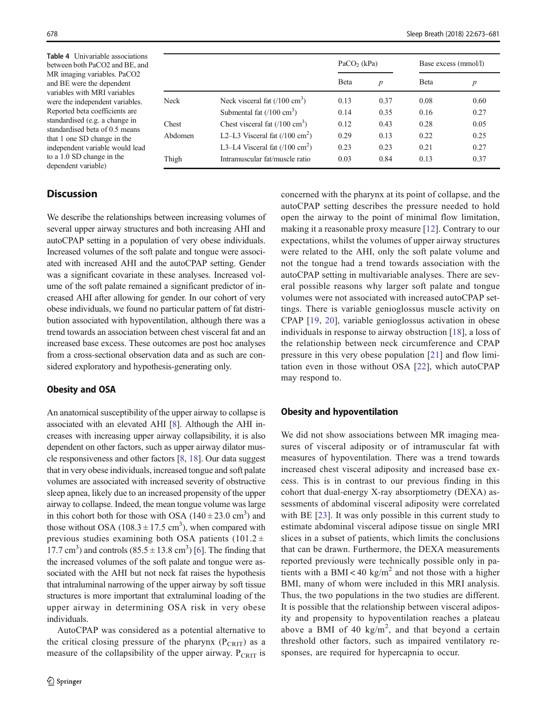<span id="page-5-0"></span>Table 4 Univariable associations between both PaCO2 and BE, and MR imaging variables. PaCO2 and BE were the dependent variables with MRI variables were the independent variables. Reported beta coefficients are standardised (e.g. a change in standardised beta of 0.5 means that 1 one SD change in the independent variable would lead to a 1.0 SD change in the dependent variable)

## **Discussion**

We describe the relationships between increasing volumes of several upper airway structures and both increasing AHI and autoCPAP setting in a population of very obese individuals. Increased volumes of the soft palate and tongue were associated with increased AHI and the autoCPAP setting. Gender was a significant covariate in these analyses. Increased volume of the soft palate remained a significant predictor of increased AHI after allowing for gender. In our cohort of very obese individuals, we found no particular pattern of fat distribution associated with hypoventilation, although there was a trend towards an association between chest visceral fat and an increased base excess. These outcomes are post hoc analyses from a cross-sectional observation data and as such are considered exploratory and hypothesis-generating only.

### Obesity and OSA

An anatomical susceptibility of the upper airway to collapse is associated with an elevated AHI [[8\]](#page-7-0). Although the AHI increases with increasing upper airway collapsibility, it is also dependent on other factors, such as upper airway dilator muscle responsiveness and other factors [\[8,](#page-7-0) [18\]](#page-7-0). Our data suggest that in very obese individuals, increased tongue and soft palate volumes are associated with increased severity of obstructive sleep apnea, likely due to an increased propensity of the upper airway to collapse. Indeed, the mean tongue volume was large in this cohort both for those with OSA  $(140 \pm 23.0 \text{ cm}^3)$  and those without OSA  $(108.3 \pm 17.5 \text{ cm}^3)$ , when compared with previous studies examining both OSA patients (101.2  $\pm$ 17.7 cm<sup>3</sup>) and controls  $(85.5 \pm 13.8 \text{ cm}^3)$  [\[6](#page-7-0)]. The finding that the increased volumes of the soft palate and tongue were associated with the AHI but not neck fat raises the hypothesis that intraluminal narrowing of the upper airway by soft tissue structures is more important that extraluminal loading of the upper airway in determining OSA risk in very obese individuals.

AutoCPAP was considered as a potential alternative to the critical closing pressure of the pharynx  $(P_{CRIT})$  as a measure of the collapsibility of the upper airway.  $P_{CRIT}$  is

|         |                                         |      | $PaCO$ <sub>2</sub> (kPa)<br>Base excess (mmol/l) |      |                  |
|---------|-----------------------------------------|------|---------------------------------------------------|------|------------------|
|         |                                         | Beta | $\boldsymbol{p}$                                  | Beta | $\boldsymbol{p}$ |
| Neck    | Neck visceral fat $(7100 \text{ cm}^3)$ | 0.13 | 0.37                                              | 0.08 | 0.60             |
|         | Submental fat $(100 \text{ cm}^3)$      | 0.14 | 0.35                                              | 0.16 | 0.27             |
| Chest   | Chest visceral fat $(100 \text{ cm}^3)$ | 0.12 | 0.43                                              | 0.28 | 0.05             |
| Abdomen | L2–L3 Visceral fat $(100 \text{ cm}^2)$ | 0.29 | 0.13                                              | 0.22 | 0.25             |
|         | L3-L4 Visceral fat $(100 \text{ cm}^2)$ | 0.23 | 0.23                                              | 0.21 | 0.27             |
| Thigh   | Intramuscular fat/muscle ratio          | 0.03 | 0.84                                              | 0.13 | 0.37             |

concerned with the pharynx at its point of collapse, and the autoCPAP setting describes the pressure needed to hold open the airway to the point of minimal flow limitation, making it a reasonable proxy measure [[12](#page-7-0)]. Contrary to our expectations, whilst the volumes of upper airway structures were related to the AHI, only the soft palate volume and not the tongue had a trend towards association with the autoCPAP setting in multivariable analyses. There are several possible reasons why larger soft palate and tongue volumes were not associated with increased autoCPAP settings. There is variable genioglossus muscle activity on CPAP [[19,](#page-7-0) [20](#page-7-0)], variable genioglossus activation in obese individuals in response to airway obstruction [[18\]](#page-7-0), a loss of the relationship between neck circumference and CPAP pressure in this very obese population [[21\]](#page-7-0) and flow limitation even in those without OSA [\[22](#page-7-0)], which autoCPAP may respond to.

### Obesity and hypoventilation

We did not show associations between MR imaging measures of visceral adiposity or of intramuscular fat with measures of hypoventilation. There was a trend towards increased chest visceral adiposity and increased base excess. This is in contrast to our previous finding in this cohort that dual-energy X-ray absorptiometry (DEXA) assessments of abdominal visceral adiposity were correlated with BE [\[23\]](#page-7-0). It was only possible in this current study to estimate abdominal visceral adipose tissue on single MRI slices in a subset of patients, which limits the conclusions that can be drawn. Furthermore, the DEXA measurements reported previously were technically possible only in patients with a BMI < 40 kg/m<sup>2</sup> and not those with a higher BMI, many of whom were included in this MRI analysis. Thus, the two populations in the two studies are different. It is possible that the relationship between visceral adiposity and propensity to hypoventilation reaches a plateau above a BMI of 40  $\text{kg/m}^2$ , and that beyond a certain threshold other factors, such as impaired ventilatory responses, are required for hypercapnia to occur.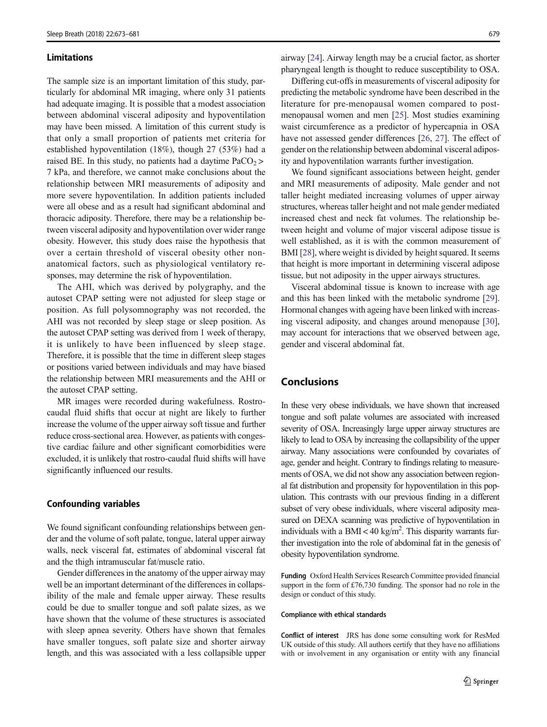#### Limitations

The sample size is an important limitation of this study, particularly for abdominal MR imaging, where only 31 patients had adequate imaging. It is possible that a modest association between abdominal visceral adiposity and hypoventilation may have been missed. A limitation of this current study is that only a small proportion of patients met criteria for established hypoventilation (18%), though 27 (53%) had a raised BE. In this study, no patients had a daytime  $PaCO<sub>2</sub>$ 7 kPa, and therefore, we cannot make conclusions about the relationship between MRI measurements of adiposity and more severe hypoventilation. In addition patients included were all obese and as a result had significant abdominal and thoracic adiposity. Therefore, there may be a relationship between visceral adiposity and hypoventilation over wider range obesity. However, this study does raise the hypothesis that over a certain threshold of visceral obesity other nonanatomical factors, such as physiological ventilatory responses, may determine the risk of hypoventilation.

The AHI, which was derived by polygraphy, and the autoset CPAP setting were not adjusted for sleep stage or position. As full polysomnography was not recorded, the AHI was not recorded by sleep stage or sleep position. As the autoset CPAP setting was derived from 1 week of therapy, it is unlikely to have been influenced by sleep stage. Therefore, it is possible that the time in different sleep stages or positions varied between individuals and may have biased the relationship between MRI measurements and the AHI or the autoset CPAP setting.

MR images were recorded during wakefulness. Rostrocaudal fluid shifts that occur at night are likely to further increase the volume of the upper airway soft tissue and further reduce cross-sectional area. However, as patients with congestive cardiac failure and other significant comorbidities were excluded, it is unlikely that rostro-caudal fluid shifts will have significantly influenced our results.

#### Confounding variables

We found significant confounding relationships between gender and the volume of soft palate, tongue, lateral upper airway walls, neck visceral fat, estimates of abdominal visceral fat and the thigh intramuscular fat/muscle ratio.

Gender differences in the anatomy of the upper airway may well be an important determinant of the differences in collapsibility of the male and female upper airway. These results could be due to smaller tongue and soft palate sizes, as we have shown that the volume of these structures is associated with sleep apnea severity. Others have shown that females have smaller tongues, soft palate size and shorter airway length, and this was associated with a less collapsible upper

airway [\[24\]](#page-7-0). Airway length may be a crucial factor, as shorter pharyngeal length is thought to reduce susceptibility to OSA.

Differing cut-offs in measurements of visceral adiposity for predicting the metabolic syndrome have been described in the literature for pre-menopausal women compared to postmenopausal women and men [\[25\]](#page-7-0). Most studies examining waist circumference as a predictor of hypercapnia in OSA have not assessed gender differences [\[26](#page-8-0), [27\]](#page-8-0). The effect of gender on the relationship between abdominal visceral adiposity and hypoventilation warrants further investigation.

We found significant associations between height, gender and MRI measurements of adiposity. Male gender and not taller height mediated increasing volumes of upper airway structures, whereas taller height and not male gender mediated increased chest and neck fat volumes. The relationship between height and volume of major visceral adipose tissue is well established, as it is with the common measurement of BMI [[28](#page-8-0)], where weight is divided by height squared. It seems that height is more important in determining visceral adipose tissue, but not adiposity in the upper airways structures.

Visceral abdominal tissue is known to increase with age and this has been linked with the metabolic syndrome [[29\]](#page-8-0). Hormonal changes with ageing have been linked with increasing visceral adiposity, and changes around menopause [[30\]](#page-8-0), may account for interactions that we observed between age, gender and visceral abdominal fat.

## Conclusions

In these very obese individuals, we have shown that increased tongue and soft palate volumes are associated with increased severity of OSA. Increasingly large upper airway structures are likely to lead to OSA by increasing the collapsibility of the upper airway. Many associations were confounded by covariates of age, gender and height. Contrary to findings relating to measurements of OSA, we did not show any association between regional fat distribution and propensity for hypoventilation in this population. This contrasts with our previous finding in a different subset of very obese individuals, where visceral adiposity measured on DEXA scanning was predictive of hypoventilation in individuals with a BMI < 40 kg/m<sup>2</sup>. This disparity warrants further investigation into the role of abdominal fat in the genesis of obesity hypoventilation syndrome.

Funding Oxford Health Services Research Committee provided financial support in the form of £76,730 funding. The sponsor had no role in the design or conduct of this study.

#### Compliance with ethical standards

Conflict of interest JRS has done some consulting work for ResMed UK outside of this study. All authors certify that they have no affiliations with or involvement in any organisation or entity with any financial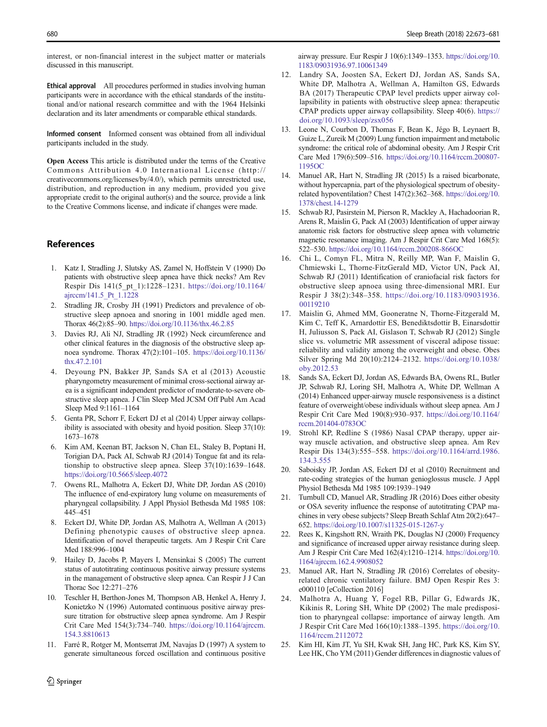<span id="page-7-0"></span>interest, or non-financial interest in the subject matter or materials discussed in this manuscript.

Ethical approval All procedures performed in studies involving human participants were in accordance with the ethical standards of the institutional and/or national research committee and with the 1964 Helsinki declaration and its later amendments or comparable ethical standards.

Informed consent Informed consent was obtained from all individual participants included in the study.

Open Access This article is distributed under the terms of the Creative Commons Attribution 4.0 International License (http:// creativecommons.org/licenses/by/4.0/), which permits unrestricted use, distribution, and reproduction in any medium, provided you give appropriate credit to the original author(s) and the source, provide a link to the Creative Commons license, and indicate if changes were made.

#### References

- 1. Katz I, Stradling J, Slutsky AS, Zamel N, Hoffstein V (1990) Do patients with obstructive sleep apnea have thick necks? Am Rev Respir Dis 141(5\_pt\_1):1228–1231. [https://doi.org/10.1164/](https://doi.org/10.1164/ajrccm/141.5_Pt_1.1228) [ajrccm/141.5\\_Pt\\_1.1228](https://doi.org/10.1164/ajrccm/141.5_Pt_1.1228)
- 2. Stradling JR, Crosby JH (1991) Predictors and prevalence of obstructive sleep apnoea and snoring in 1001 middle aged men. Thorax 46(2):85–90. <https://doi.org/10.1136/thx.46.2.85>
- 3. Davies RJ, Ali NJ, Stradling JR (1992) Neck circumference and other clinical features in the diagnosis of the obstructive sleep apnoea syndrome. Thorax 47(2):101–105. [https://doi.org/10.1136/](https://doi.org/10.1136/thx.47.2.101) [thx.47.2.101](https://doi.org/10.1136/thx.47.2.101)
- 4. Deyoung PN, Bakker JP, Sands SA et al (2013) Acoustic pharyngometry measurement of minimal cross-sectional airway area is a significant independent predictor of moderate-to-severe obstructive sleep apnea. J Clin Sleep Med JCSM Off Publ Am Acad Sleep Med 9:1161–1164
- 5. Genta PR, Schorr F, Eckert DJ et al (2014) Upper airway collapsibility is associated with obesity and hyoid position. Sleep 37(10): 1673–1678
- 6. Kim AM, Keenan BT, Jackson N, Chan EL, Staley B, Poptani H, Torigian DA, Pack AI, Schwab RJ (2014) Tongue fat and its relationship to obstructive sleep apnea. Sleep 37(10):1639–1648. <https://doi.org/10.5665/sleep.4072>
- 7. Owens RL, Malhotra A, Eckert DJ, White DP, Jordan AS (2010) The influence of end-expiratory lung volume on measurements of pharyngeal collapsibility. J Appl Physiol Bethesda Md 1985 108: 445–451
- 8. Eckert DJ, White DP, Jordan AS, Malhotra A, Wellman A (2013) Defining phenotypic causes of obstructive sleep apnea. Identification of novel therapeutic targets. Am J Respir Crit Care Med 188:996–1004
- 9. Hailey D, Jacobs P, Mayers I, Mensinkai S (2005) The current status of autotitrating continuous positive airway pressure systems in the management of obstructive sleep apnea. Can Respir J J Can Thorac Soc 12:271–276
- 10. Teschler H, Berthon-Jones M, Thompson AB, Henkel A, Henry J, Konietzko N (1996) Automated continuous positive airway pressure titration for obstructive sleep apnea syndrome. Am J Respir Crit Care Med 154(3):734–740. [https://doi.org/10.1164/ajrccm.](https://doi.org/10.1164/ajrccm.154.3.8810613) [154.3.8810613](https://doi.org/10.1164/ajrccm.154.3.8810613)
- 11. Farré R, Rotger M, Montserrat JM, Navajas D (1997) A system to generate simultaneous forced oscillation and continuous positive

 $\hat{Z}$  Springer

airway pressure. Eur Respir J 10(6):1349–1353. [https://doi.org/10.](https://doi.org/10.1183/09031936.97.10061349) [1183/09031936.97.10061349](https://doi.org/10.1183/09031936.97.10061349)

- 12. Landry SA, Joosten SA, Eckert DJ, Jordan AS, Sands SA, White DP, Malhotra A, Wellman A, Hamilton GS, Edwards BA (2017) Therapeutic CPAP level predicts upper airway collapsibility in patients with obstructive sleep apnea: therapeutic CPAP predicts upper airway collapsibility. Sleep 40(6). [https://](https://doi.org/10.1093/sleep/zsx056) [doi.org/10.1093/sleep/zsx056](https://doi.org/10.1093/sleep/zsx056)
- 13. Leone N, Courbon D, Thomas F, Bean K, Jégo B, Leynaert B, Guize L, Zureik M (2009) Lung function impairment and metabolic syndrome: the critical role of abdominal obesity. Am J Respir Crit Care Med 179(6):509–516. [https://doi.org/10.1164/rccm.200807-](https://doi.org/10.1164/rccm.200807-1195OC) [1195OC](https://doi.org/10.1164/rccm.200807-1195OC)
- 14. Manuel AR, Hart N, Stradling JR (2015) Is a raised bicarbonate, without hypercapnia, part of the physiological spectrum of obesityrelated hypoventilation? Chest 147(2):362–368. [https://doi.org/10.](https://doi.org/10.1378/chest.14-1279) [1378/chest.14-1279](https://doi.org/10.1378/chest.14-1279)
- 15. Schwab RJ, Pasirstein M, Pierson R, Mackley A, Hachadoorian R, Arens R, Maislin G, Pack AI (2003) Identification of upper airway anatomic risk factors for obstructive sleep apnea with volumetric magnetic resonance imaging. Am J Respir Crit Care Med 168(5): 522–530. <https://doi.org/10.1164/rccm.200208-866OC>
- 16. Chi L, Comyn FL, Mitra N, Reilly MP, Wan F, Maislin G, Chmiewski L, Thorne-FitzGerald MD, Victor UN, Pack AI, Schwab RJ (2011) Identification of craniofacial risk factors for obstructive sleep apnoea using three-dimensional MRI. Eur Respir J 38(2):348–358. [https://doi.org/10.1183/09031936.](https://doi.org/10.1183/09031936.00119210) [00119210](https://doi.org/10.1183/09031936.00119210)
- 17. Maislin G, Ahmed MM, Gooneratne N, Thorne-Fitzgerald M, Kim C, Teff K, Arnardottir ES, Benediktsdottir B, Einarsdottir H, Juliusson S, Pack AI, Gislason T, Schwab RJ (2012) Single slice vs. volumetric MR assessment of visceral adipose tissue: reliability and validity among the overweight and obese. Obes Silver Spring Md 20(10):2124–2132. [https://doi.org/10.1038/](https://doi.org/10.1038/oby.2012.53) [oby.2012.53](https://doi.org/10.1038/oby.2012.53)
- 18. Sands SA, Eckert DJ, Jordan AS, Edwards BA, Owens RL, Butler JP, Schwab RJ, Loring SH, Malhotra A, White DP, Wellman A (2014) Enhanced upper-airway muscle responsiveness is a distinct feature of overweight/obese individuals without sleep apnea. Am J Respir Crit Care Med 190(8):930–937. [https://doi.org/10.1164/](https://doi.org/10.1164/rccm.201404-0783OC) [rccm.201404-0783OC](https://doi.org/10.1164/rccm.201404-0783OC)
- 19. Strohl KP, Redline S (1986) Nasal CPAP therapy, upper airway muscle activation, and obstructive sleep apnea. Am Rev Respir Dis 134(3):555–558. [https://doi.org/10.1164/arrd.1986.](https://doi.org/10.1164/arrd.1986.134.3.555) [134.3.555](https://doi.org/10.1164/arrd.1986.134.3.555)
- 20. Saboisky JP, Jordan AS, Eckert DJ et al (2010) Recruitment and rate-coding strategies of the human genioglossus muscle. J Appl Physiol Bethesda Md 1985 109:1939–1949
- 21. Turnbull CD, Manuel AR, Stradling JR (2016) Does either obesity or OSA severity influence the response of autotitrating CPAP machines in very obese subjects? Sleep Breath Schlaf Atm 20(2):647– 652. <https://doi.org/10.1007/s11325-015-1267-y>
- 22. Rees K, Kingshott RN, Wraith PK, Douglas NJ (2000) Frequency and significance of increased upper airway resistance during sleep. Am J Respir Crit Care Med 162(4):1210–1214. [https://doi.org/10.](https://doi.org/10.1164/ajrccm.162.4.9908052) [1164/ajrccm.162.4.9908052](https://doi.org/10.1164/ajrccm.162.4.9908052)
- 23. Manuel AR, Hart N, Stradling JR (2016) Correlates of obesityrelated chronic ventilatory failure. BMJ Open Respir Res 3: e000110 [eCollection 2016]
- 24. Malhotra A, Huang Y, Fogel RB, Pillar G, Edwards JK, Kikinis R, Loring SH, White DP (2002) The male predisposition to pharyngeal collapse: importance of airway length. Am J Respir Crit Care Med 166(10):1388–1395. [https://doi.org/10.](https://doi.org/10.1164/rccm.2112072) [1164/rccm.2112072](https://doi.org/10.1164/rccm.2112072)
- 25. Kim HI, Kim JT, Yu SH, Kwak SH, Jang HC, Park KS, Kim SY, Lee HK, Cho YM (2011) Gender differences in diagnostic values of